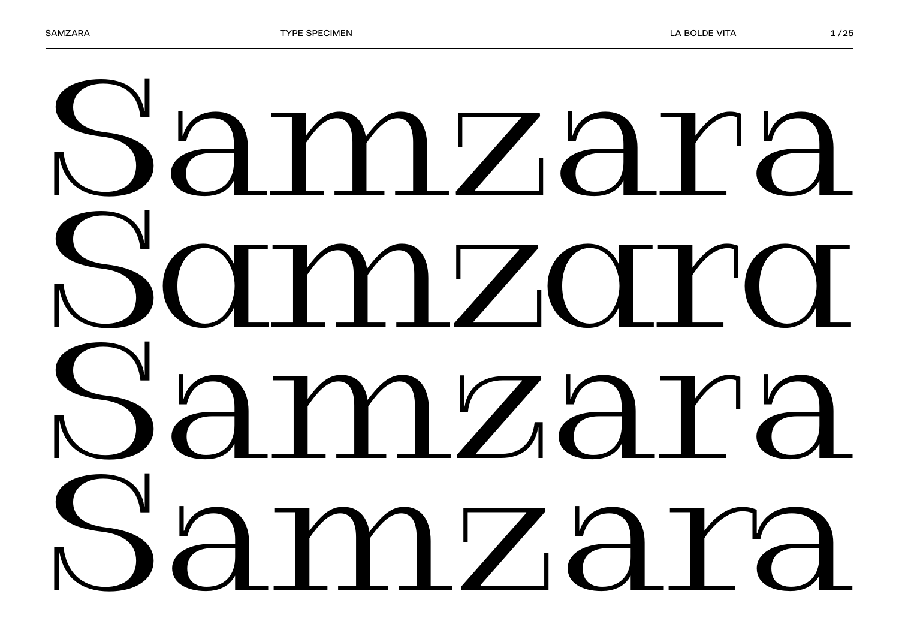## Samzara Samzara Samzara Samzara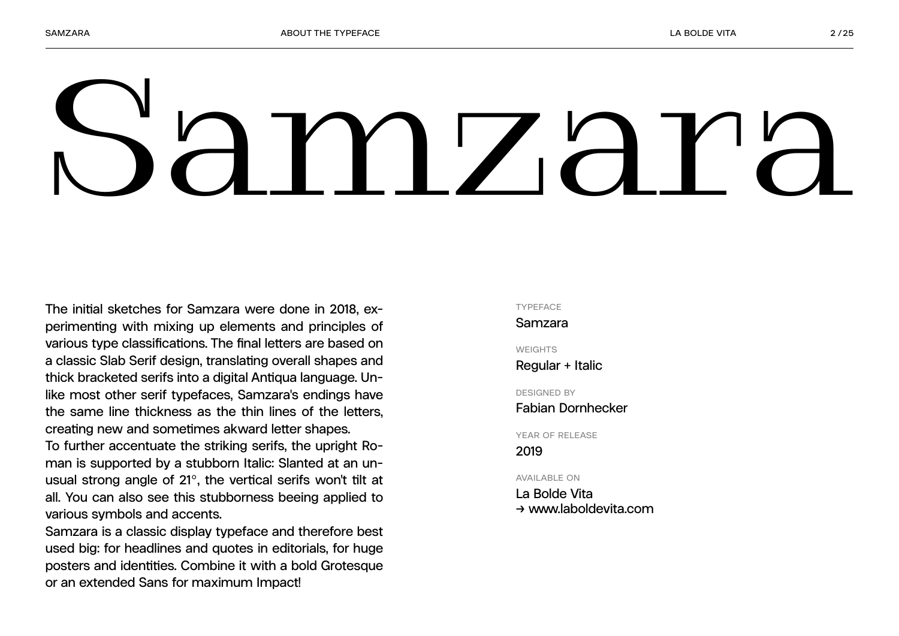# Samzara

**The initial sketches for Samzara were done in 2018, experimenting with mixing up elements and principles of various type classifications. The final letters are based on a classic Slab Serif design, translating overall shapes and thick bracketed serifs into a digital Antiqua language. Unlike most other serif typefaces, Samzara's endings have the same line thickness as the thin lines of the letters, creating new and sometimes akward letter shapes.**

**To further accentuate the striking serifs, the upright Roman is supported by a stubborn Italic: Slanted at an unusual strong angle of 21°, the vertical serifs won't tilt at all. You can also see this stubborness beeing applied to various symbols and accents.**

**Samzara is a classic display typeface and therefore best used big: for headlines and quotes in editorials, for huge posters and identities. Combine it with a bold Grotesque or an extended Sans for maximum Impact!**

#### **TYPEFACE**

**Samzara**

**WEIGHTS Regular + Italic**

**DESIGNED BY**

**Fabian Dornhecker**

**YEAR OF RELEASE 2019**

**AVAILABLE ON**

**La Bolde Vita → www.laboldevita.com**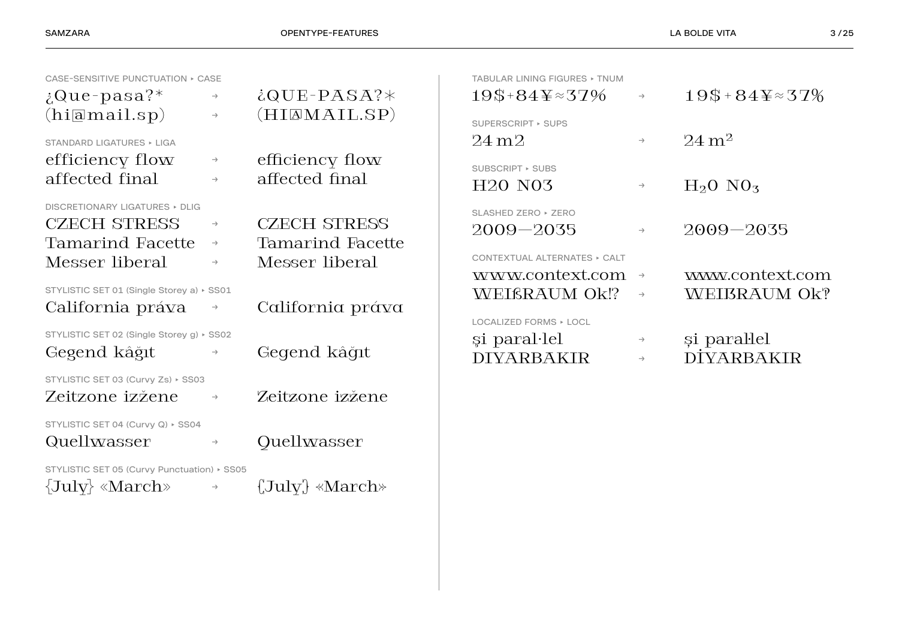| CASE-SENSITIVE PUNCTUATION ▶ CASE                                                           |                                                 |                                                           | TABULAR LINING FIGURES > TNUM                                                           |                                |                                  |
|---------------------------------------------------------------------------------------------|-------------------------------------------------|-----------------------------------------------------------|-----------------------------------------------------------------------------------------|--------------------------------|----------------------------------|
| $i\Omega$ ue-pasa?*                                                                         | $\rightarrow$                                   | $iQUE-PASA?*$                                             | $19$+84\text{Y}\approx37\%$                                                             | $\rightarrow$                  | $19$+84\&\approx 37\%$           |
| (hi[amail.sp))<br>STANDARD LIGATURES ▶ LIGA                                                 | $\rightarrow$                                   | (HIAMAIL.SP)                                              | SUPERSCRIPT ▶ SUPS<br>$24 \,\mathrm{m}2$                                                | $\rightarrow$                  | $24 \text{ m}^2$                 |
| efficiency flow<br>affected final                                                           | $\rightarrow$<br>$\rightarrow$                  | efficiency flow<br>affected final                         | SUBSCRIPT ▶ SUBS<br>H <sub>20</sub> N <sub>03</sub>                                     | $\rightarrow$                  | $H_2O$ NO <sub>3</sub>           |
| DISCRETIONARY LIGATURES > DLIG<br><b>CZECH STRESS</b><br>Tamarind Facette<br>Messer liberal | $\rightarrow$<br>$\rightarrow$<br>$\rightarrow$ | <b>CZECH STRESS</b><br>Tamarind Facette<br>Messer liberal | SLASHED ZERO ▶ ZERO<br>$2009 - 2035$<br>CONTEXTUAL ALTERNATES ▶ CALT<br>www.context.com | $\rightarrow$<br>$\rightarrow$ | $2009 - 2035$<br>www.context.com |
| STYLISTIC SET 01 (Single Storey a) > SS01<br>California práva                               | $\rightarrow$                                   | California práva                                          | WEIßRAUM Ok!?<br>LOCALIZED FORMS > LOCL                                                 | $\rightarrow$                  | WEIBRAUM Ok?                     |
| STYLISTIC SET 02 (Single Storey g) > SS02<br>Gegend kâğıt                                   | $\rightarrow$                                   | Gegend kâğıt                                              | si paral·lel<br><b>DIYARBAKIR</b>                                                       | $\rightarrow$<br>$\rightarrow$ | și paral·lel<br>DİYARBAKIR       |
| STYLISTIC SET 03 (Curvy Zs) > SS03<br>Zeitzone izžene                                       | $\rightarrow$                                   | Zeitzone izžene                                           |                                                                                         |                                |                                  |
| STYLISTIC SET 04 (Curvy Q) ▶ SS04<br>Quellwasser                                            | $\rightarrow$                                   | Quellwasser                                               |                                                                                         |                                |                                  |
| STYLISTIC SET 05 (Curvy Punctuation) > SS05<br>$\{July\}$ «March»                           | $\rightarrow$                                   | $(\text{July}) * \text{March*}$                           |                                                                                         |                                |                                  |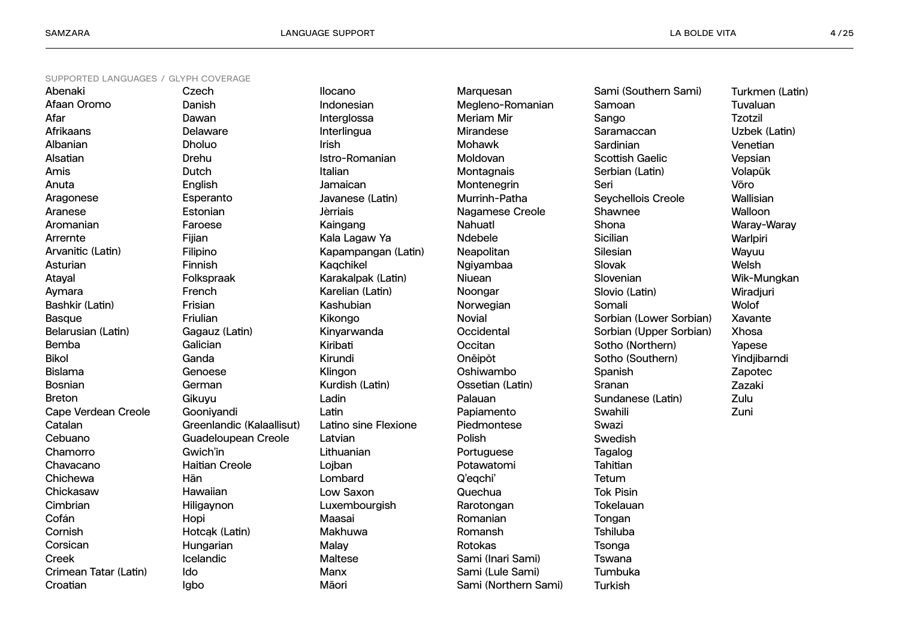**Ilocano**

| Abenaki                    |
|----------------------------|
| Afaan Oromo                |
| Afar                       |
| <b>Afrikaans</b>           |
| Albanian                   |
| Alsatian                   |
| Amis                       |
| Anuta                      |
| Aragonese                  |
| Aranese                    |
| Aromanian                  |
| Arrernte                   |
| Arvanitic (Latin)          |
| Asturian                   |
| Atayal                     |
| Aymara                     |
| Bashkir (Latin)            |
| <b>Basque</b>              |
| Belarusian (Latin)         |
| <b>Bemba</b>               |
| <b>Bikol</b>               |
| <b>Bislama</b>             |
| <b>Bosnian</b>             |
| <b>Breton</b>              |
| <b>Cape Verdean Creole</b> |
| Catalan                    |
| Cebuano                    |
| Chamorro                   |
| Chavacano                  |
| Chichewa                   |
| Chickasaw                  |
| Cimbrian                   |
| Cofán                      |
| Cornish                    |
| Corsican                   |
| Creek                      |
| Crimean Tatar (Latin)      |
| Croatian                   |

**Czech Danish Dawan Delaware Dholuo Drehu Dutch English Esperanto Estonian Faroese Fijian Filipino Finnish Folkspraak French Frisian Friulian Gagauz (Latin) Galician Ganda Genoese German Gikuyu Gooniyandi Greenlandic (Kalaallisut) Guadeloupean Creole Gwich'in Haitian Creole Hän Hawaiian Hiligaynon Hopi Hotcąk (Latin) Hungarian Icelandic Igbo**

**Ido**

**Indonesian Interglossa Interlingua Irish Istro-Romanian Italian Jamaican Javanese (Latin) Jèrriais Kaingang Kala Lagaw Ya Kapampangan (Latin) Kaqchikel Karakalpak (Latin) Karelian (Latin) Kashubian Kikongo Kinyarwanda Kiribati Kirundi Klingon Kurdish (Latin) Ladin Latin Latino sine Flexione Latvian Lithuanian Lojban Lombard Low Saxon Luxembourgish Maasai Makhuwa Malay Maltese Manx Māori**

**Marquesan Megleno-Romanian Meriam Mir Mirandese Mohawk Moldovan Montagnais Montenegrin Murrinh-Patha Nagamese Creole Nahuatl Ndebele Neapolitan Ngiyambaa Niuean Noongar Norwegian Novial Occidental Occitan Onĕipŏt Oshiwambo Ossetian (Latin) Palauan Papiamento Piedmontese Polish Portuguese Potawatomi Q'eqchi' Quechua Rarotongan Romanian Romansh Rotokas Sami (Inari Sami) Sami (Lule Sami) Sami (Northern Sami)** **Sami (Southern Sami) Samoan Sango Saramaccan Sardinian Scottish Gaelic Serbian (Latin) Seri Seychellois Creole Shawnee Shona Sicilian Silesian Slovak Slovenian Slovio (Latin) Somali Sorbian (Lower Sorbian) Sorbian (Upper Sorbian) Sotho (Northern) Sotho (Southern) Spanish Sranan Sundanese (Latin) Swahili Swazi Swedish Tagalog Tahitian Tetum Tok Pisin Tokelauan Tongan Tshiluba Tsonga Tswana Tumbuka Turkish**

**Turkmen (Latin) Tuvaluan Tzotzil Uzbek (Latin) Venetian Vepsian Volapük Võro Wallisian Walloon Waray-Waray Warlpiri Wayuu Welsh Wik-Mungkan Wiradjuri Wolof Xavante Xhosa Yapese Yindjibarndi Zapotec Zazaki**

**Zulu Zuni**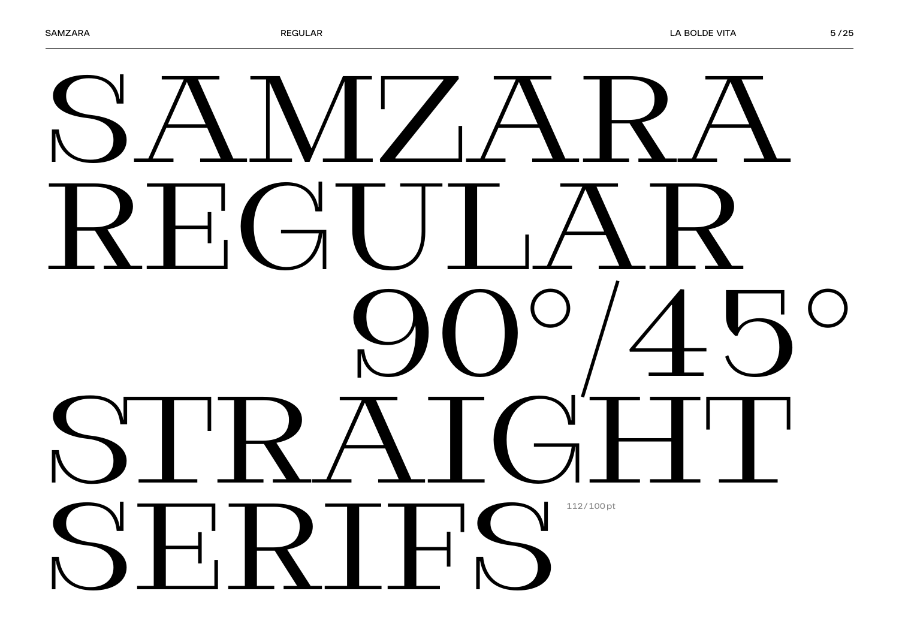## SAMZARA REGULAR 90°/45° STRAIGHT SERIFS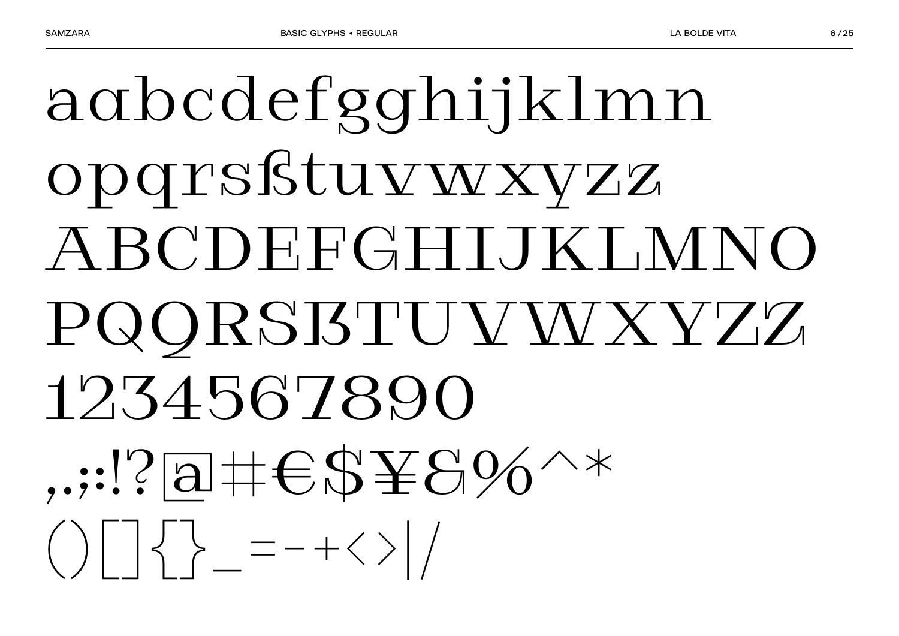## agbcdefgghijklmn opqrsßtuvwxyzz ABCDEFGHIJKLMNO PQQRSISTUVWXYZZ 1234567890  $...$ ?a# $\epsilon$ \$¥8%^\*  $\left(\begin{array}{c} \end{array}\right)\left[\begin{array}{c} \end{array}\right]\left\{\begin{array}{c} \end{array}\right\}=\left[-+\left\langle \end{array}\right]\left/\right.$

 $6/25$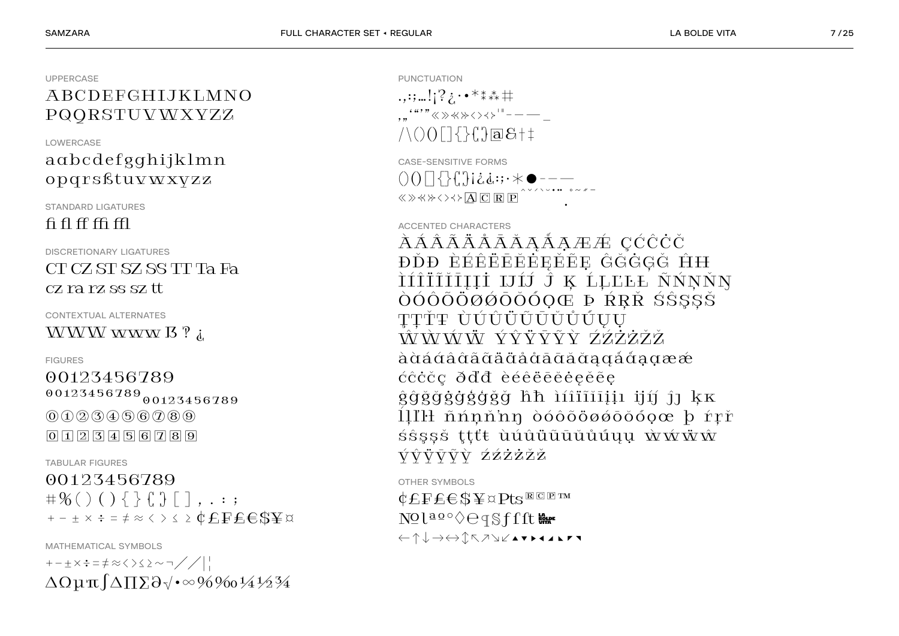#### $+ - \pm \times \div = \pm \approx \langle 0 \rangle \leq 2 \sim \neg 1 / 2$  $\Delta\Omega\mu\pi\int\!\Delta\Pi\Sigma\partial\psi\cdot\infty\%$

00123456789  $\#$ %()(){}{'}[]...;  $+ - \pm \times \div = \neq \infty \Longleftrightarrow \leq \geq \Phi \text{EFEESY}$ 

**FIGURES** 00123456789  $00123456789_{\begin{smallmatrix}00123456789\end{smallmatrix}}$  $(0) (1) (2) (3) (4) (5) (6) (2) (8) (9)$  $\boxed{0}$   $\boxed{1}$   $\boxed{2}$   $\boxed{3}$   $\boxed{4}$   $\boxed{5}$   $\boxed{6}$   $\boxed{7}$   $\boxed{8}$   $\boxed{9}$ 

WWW www  $\overline{B}$ ? i.

**CONTEXTUAL ALTERNATES** 

**TABULAR FIGURES** 

MATHEMATICAL SYMBOLS

**DISCRETIONARY LIGATURES** CT CZ ST SZ SS TT Ta Fa cz ra rz ss sz tt

**STANDARD LIGATURES**  $fi\,fi\,ff\,ff\,ff$ 

#### **I OWFRCASE**  $aabcdefgghijklmn$ opgrsßtuvwxyzz

ABCDEFGHIJKLMNO PQORSTUVWXYZZ

**UPPERCASE** 

OTHER SYMBOLS  $\mathop{\mathbf{C}} \mathop{E} \mathop{F} \mathop{E} \mathop{E} \mathop{S} \mathop{Y} \mathop{\cong} \mathop{\mathbf{C}} \mathop{P} \mathop{S} \mathop{\mathbf{E}} \mathop{C} \mathop{P} \mathop{T^M}$ Nolaoo⇔eqSffft  $\xleftarrow{\uparrow}\downarrow\rightarrow\xleftrightarrow{\uparrow}\uparrow\wedge\bar{\wedge}\vee\vee\blacktriangle\mathbf{v}\blacktriangleright\mathbf{1}\perp\mathbf{1}\blacktriangleright\mathbf{r}\blacktriangleright\mathbf{1}$ 

ĐĎĐ ÈÉÊËĒEĚEEĚE ĜĞĠĢĞ ĤH ÌÍÎÏĨĬĪĮĮİ IJĹĴ Ķ ĹĻĽĿŁ ÑŃŅŇŊ ÒÓÔÕÖØØŌŎŎŎQŒ ÞŔŖŘŚŜŞŞŠ TTŤŦ ÙÚÛÜŨŪŬŮŰŲŲ ŴŴŴŴ*Ŵ* ÝŶŸŸŶŶ*ŶŹŻŻŽ* à à á á â â ã ã ä ä å å ā ā ă ă a a a å å a a æ æ ccccc ddd eéeeeeeee gggggggggg hh iíiïiiiii jií ji kk 11IH nnnnn dóooöooooooo b rrr śŝssš ttťt ùúûüūūŭůúuu wwww VŶŸVŶŶ ŹŹŻŻŽŽ

ÀÁÂÃÄÅĀĀĀĄÁẠÆÆ ÇĆĈĊČ

 $/ \setminus () ()$   $\cap$   $\{$   $\}$   $\cap$   $\{$   $\}$   $\cap$   $\{$   $\}$   $\cap$   $\{$   $\}$   $\{$   $\}$   $\{$   $\}$   $\{$   $\}$   $\{$   $\}$   $\{$   $\}$   $\{$   $\}$   $\{$   $\}$   $\{$   $\}$   $\{$   $\}$   $\{$   $\}$   $\{$   $\}$   $\{$   $\}$   $\{$   $\}$   $\{$   $\}$   $\{$   $\}$   $\$ **CASE-SENSITIVE FORMS**  $\text{K} \otimes \text{K} \otimes \text{K} \otimes \text{K} \otimes \text{K} \otimes \text{K} \otimes \text{K} \otimes \text{K} \otimes \text{K} \otimes \text{K} \otimes \text{K} \otimes \text{K} \otimes \text{K} \otimes \text{K} \otimes \text{K} \otimes \text{K} \otimes \text{K} \otimes \text{K} \otimes \text{K} \otimes \text{K} \otimes \text{K} \otimes \text{K} \otimes \text{K} \otimes \text{K} \otimes \text{K} \otimes \text{K} \otimes \text{K} \otimes \text{K$ 

 $\ldots$ :;...!;?  $\cdot \cdot \cdot$  \*\*\*\* #  $\cdot \cdot \cdot \cdot \cdot \cdot \cdot \times \times \times \times \times \times \times \cdot \cdot \cdot$ 

PUNCTUATION

**ACCENTED CHARACTERS**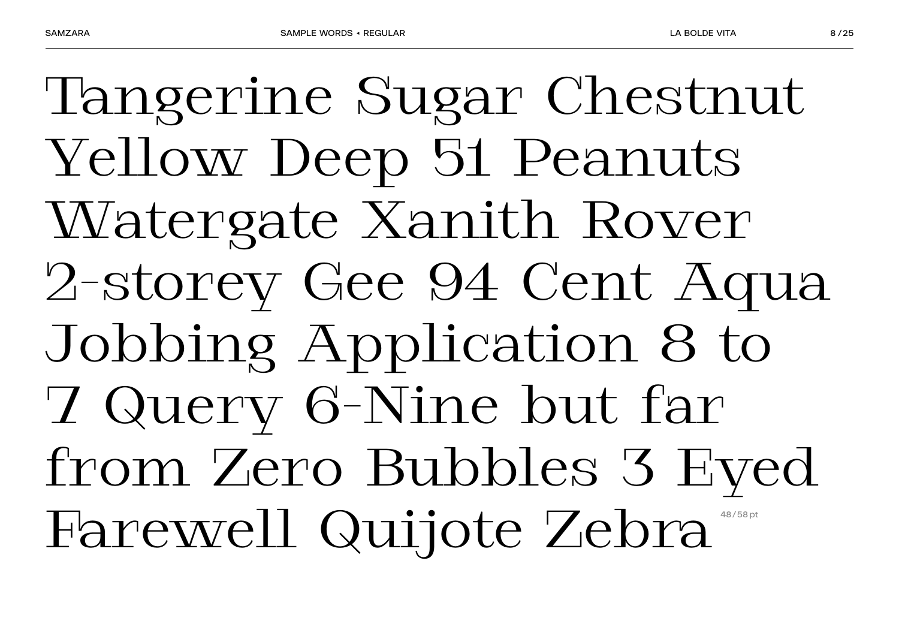Tangerine Sugar Chestnut Yellow Deep 51 Peanuts Watergate Xanith Rover 2-storey Gee 94 Cent Aqua Jobbing Application 8 to 7 Query 6-Nine but far from Zero Bubbles 3 Eyed Farewell Quijote Zebra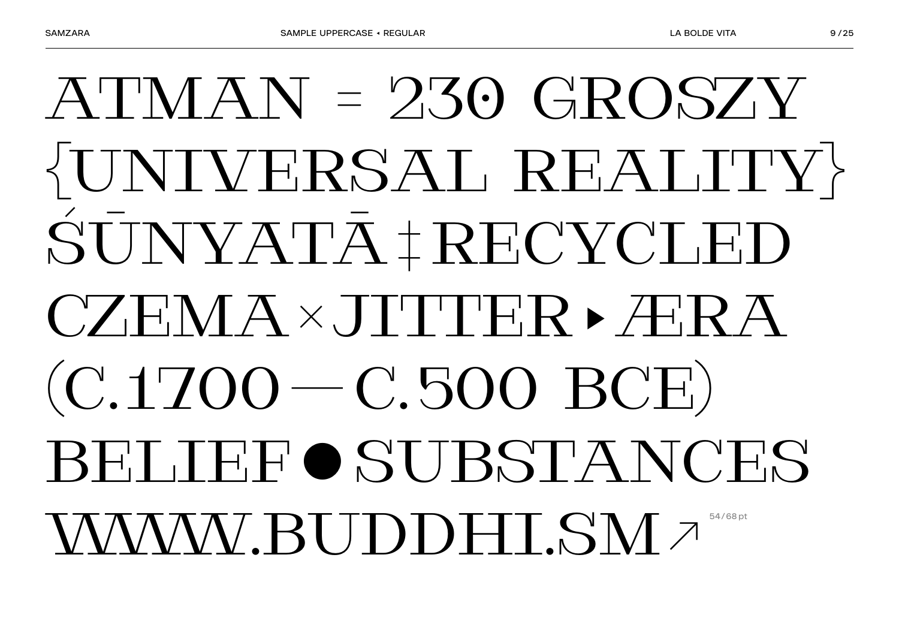## $ATMAN = 230 GROSTV$  $\langle UNIVERSALR RELATITY\rangle$ ŚŪNYATĀ † RECYCLED  $CZENA\times JTTTFR\triangleright A'R$  $(C.1700 - C.500$  BCE) BELIEFOSUBSTANCES **WWW.BUDDHLSMA**

**I A BOLDE VITA**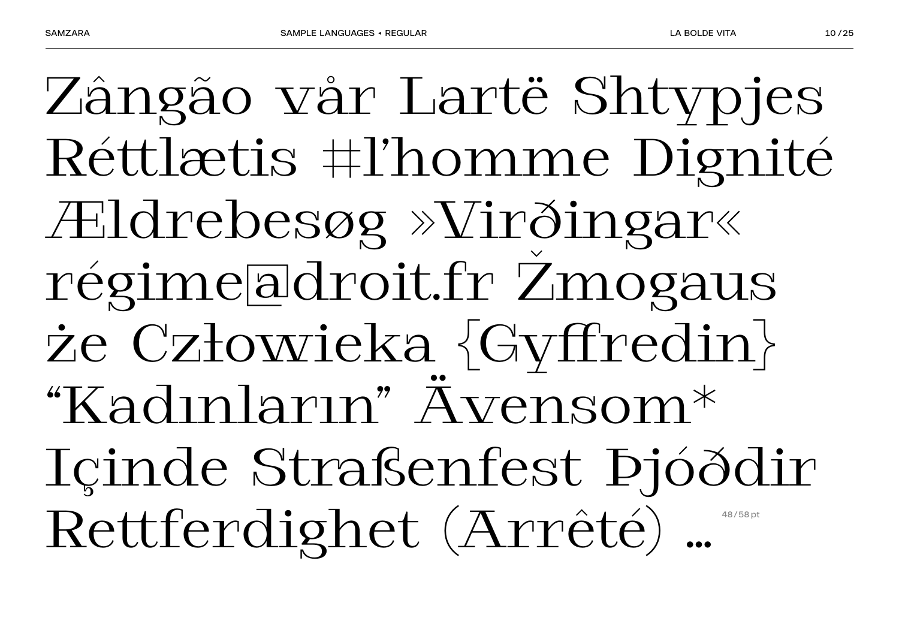Zângão vår Lartë Shtypjes Réttlætis #l'homme Dignité Ældrebesøg »Virðingar« régime@droit.fr Žmogaus że Człowieka {Gyffredin} "Kadınların" Ävensom\* Içinde Straßenfest Þjóðdir Rettferdighet (Arrêté) …  **48/58 pt**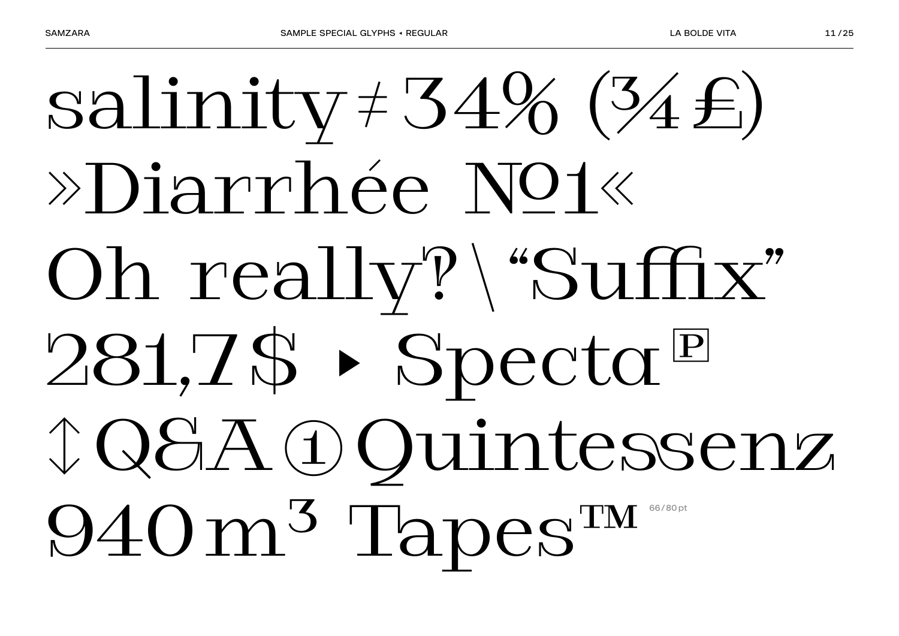## salinity  $\neq 34\%$  (34 $\neq$ ) »Diarrhée Not« Oh really?\"Suffix" 281, Z\$ > Specta<sup>E</sup> **J Q S A D Quintessenz** 940m<sup>3</sup> Tapes<sup>TM</sup>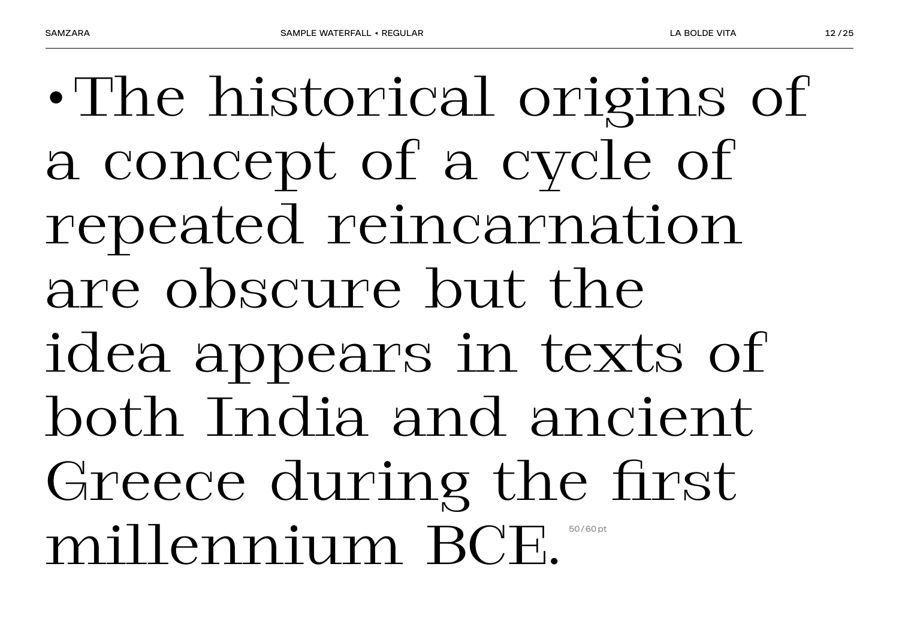•The historical origins of a concept of a cycle of repeated reincarnation are obscure but the idea appears in texts of both India and ancient Greece during the first millennium BCE.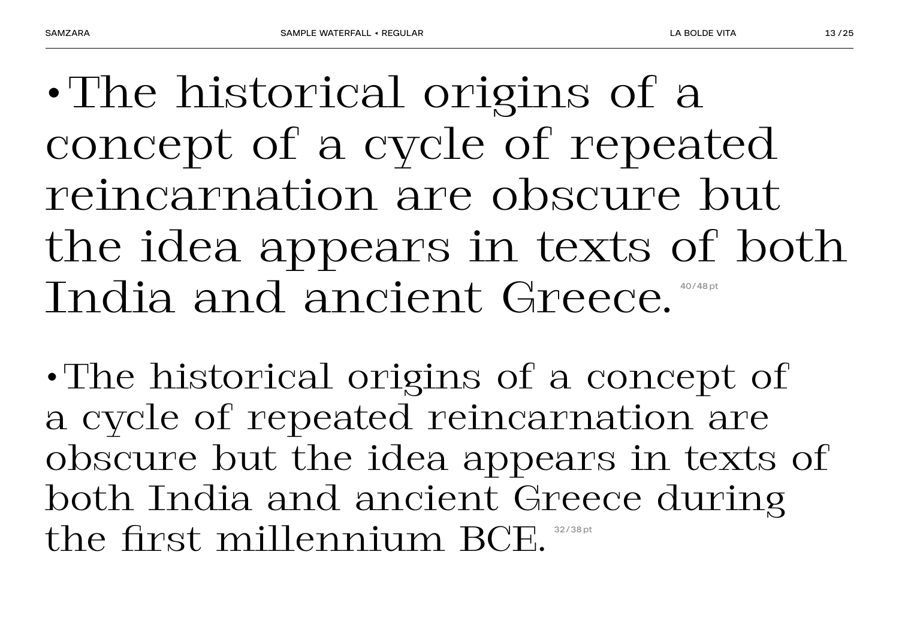•The historical origins of a concept of a cycle of repeated reincarnation are obscure but the idea appears in texts of both India and ancient Greece. **40/48 pt**

•The historical origins of a concept of a cycle of repeated reincarnation are obscure but the idea appears in texts of both India and ancient Greece during the first millennium BCE.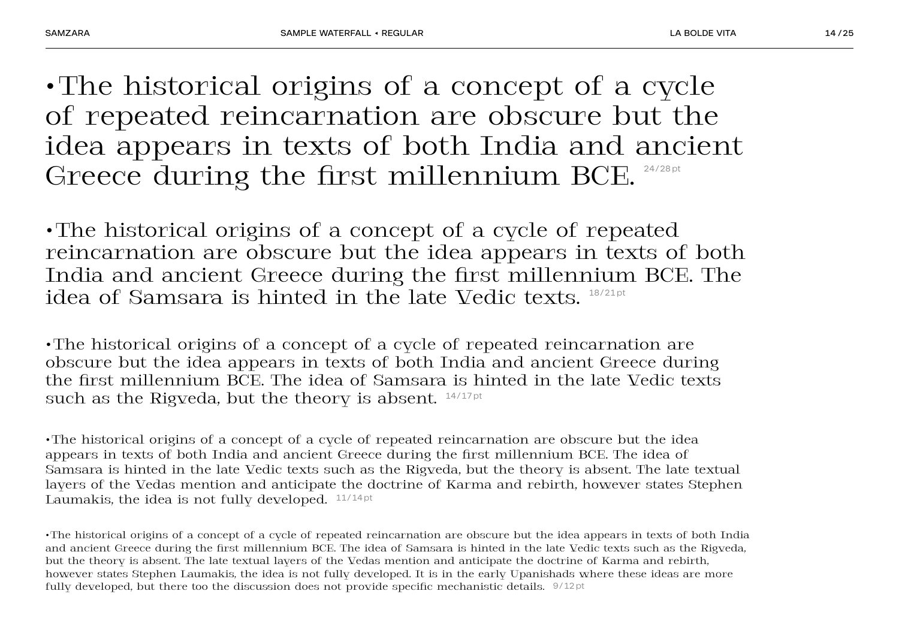•The historical origins of a concept of a cycle of repeated reincarnation are obscure but the idea appears in texts of both India and ancient Greece during the first millennium BCE. 24/28pt

•The historical origins of a concept of a cycle of repeated reincarnation are obscure but the idea appears in texts of both India and ancient Greece during the first millennium BCE. The idea of Samsara is hinted in the late Vedic texts.  $18/21pt$ 

•The historical origins of a concept of a cycle of repeated reincarnation are obscure but the idea appears in texts of both India and ancient Greece during the first millennium BCE. The idea of Samsara is hinted in the late Vedic texts such as the Rigveda, but the theory is absent.  $14/17$  pt

•The historical origins of a concept of a cycle of repeated reincarnation are obscure but the idea appears in texts of both India and ancient Greece during the first millennium BCE. The idea of Samsara is hinted in the late Vedic texts such as the Rigveda, but the theory is absent. The late textual layers of the Vedas mention and anticipate the doctrine of Karma and rebirth, however states Stephen Laumakis, the idea is not fully developed.  $11/14$  pt

•The historical origins of a concept of a cycle of repeated reincarnation are obscure but the idea appears in texts of both India and ancient Greece during the first millennium BCE. The idea of Samsara is hinted in the late Vedic texts such as the Rigveda, but the theory is absent. The late textual layers of the Vedas mention and anticipate the doctrine of Karma and rebirth, however states Stephen Laumakis, the idea is not fully developed. It is in the early Upanishads where these ideas are more fully developed, but there too the discussion does not provide specific mechanistic details. 9/12 pt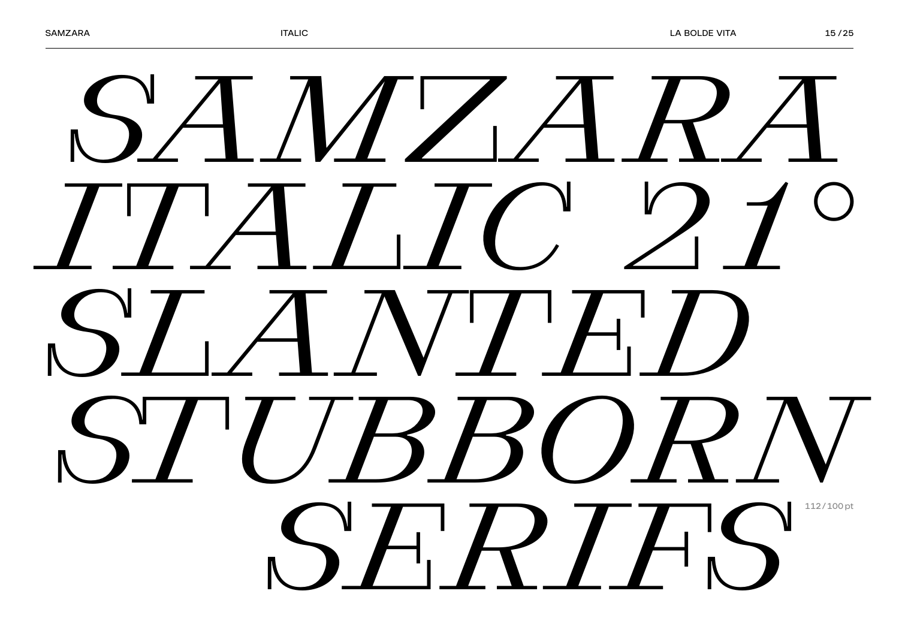## *SAMZARA ITALIC 21° SLANTED STUBBORN SERIFS* **112/100 pt**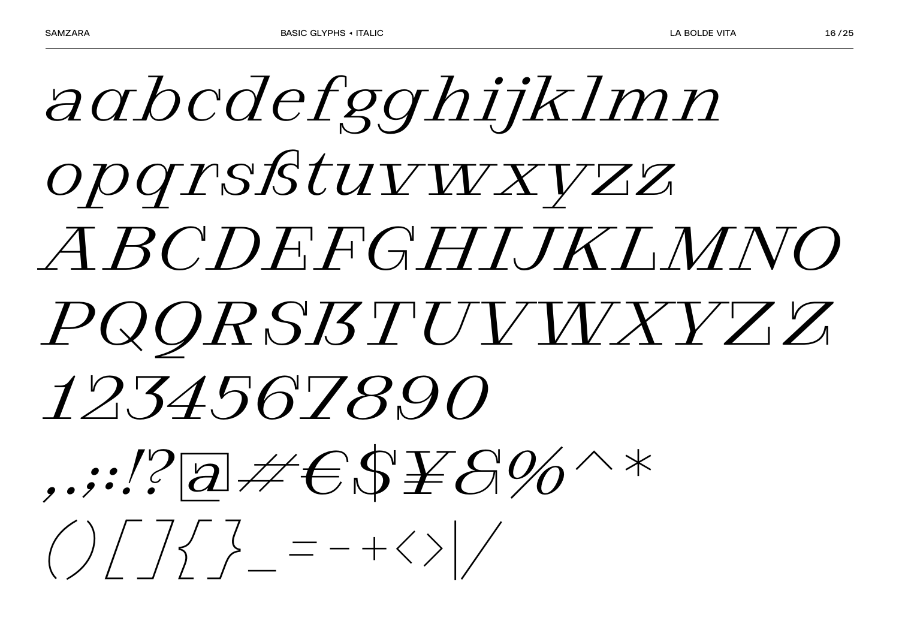aabcdefgghijklmn opqrsßtuvwxvzz ABCDEFGHIJKIMNO PQQRSBTUVVXYZZ 1234567890  $( ) / 7 / 7 = - + 1 / 7$ 

 $16/25$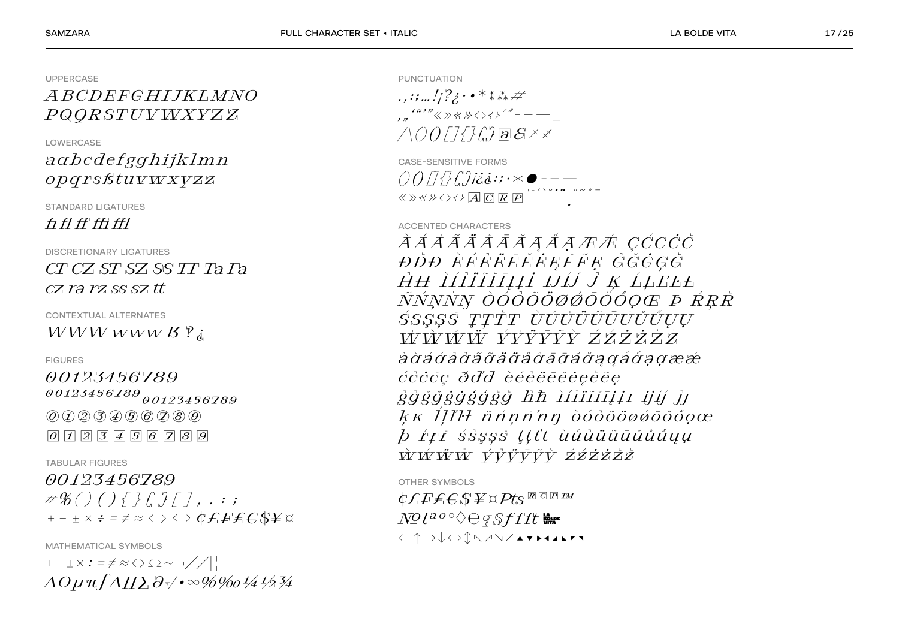**UPPERCASE** 

### ABCDEFGHLIKLMNO PQQRSTUVWXYZZ

**I OWFRCASE** 

### agbcdefgghijklmn opgrsßtuvwxvzz

**STANDARD LIGATURES**  $f\hat{H}ff\hat{H}ff$ 

**DISCRETIONARY LIGATURES** 

 $CT$  CZ ST SZ SS TT Ta Fa  $CZ$  ra  $rz$  ss  $sz$  tt

**CONTEXTUAL ALTERNATES**  $WWWWWW$ 

**FIGURES** 

00123456789  $00123456789_{00123456789$  $(0)$  $(1)$  $(2)$  $(3)$  $(4)$  $(5)$  $(6)$  $(7)$  $(8)$  $(9)$  $\boxed{0}$   $\boxed{1}$   $\boxed{2}$   $\boxed{3}$   $\boxed{4}$   $\boxed{5}$   $\boxed{6}$   $\boxed{7}$   $\boxed{8}$   $\boxed{9}$ 

**TABULAR FIGURES** 

#### 00123456789  $\#$  ( ) ( ) { } {  $?$  [ ]  $\left[$   $\right]$  . . . ;

MATHEMATICAL SYMBOLS  $+-+ \times \div = \neq \approx \langle \rangle \langle \rangle \sim \neg / / \langle | \cdot |$  $\Delta Q\mu\pi/\Delta\Pi\Sigma\partial\sqrt{\cdot}\infty\%$  PUNCTUATION

 $\ldots$  : ; ...  $\frac{1}{2}$  ;  $\cdot \cdot \cdot$  \* \* \* \* ...  $\ldots$  "" « » « » « » < > < > < > " - - -- $\triangle OOT7777777777887$ 

CASE-SENSITIVE FORMS 

**ACCENTED CHARACTERS** 

*ÀÁÀÃÄÅĀĀĀAÅAÆÆ CĆĊĊĊ ĐDĐ ÈÉEËEËEËEËE GĞGGĞ* HH ÌÍI้IIIȚȚII IJÍJ J Ķ ĹĻĽĿŁ *ÑŃŅŇŊ ÒÓÒÕÕØØŌŎŎŎQŒ ÞŔŖR* SSSSS TTTT ÙÚÙÜÜÜÜÜÚUU <del>wy wyst</del>ych wydatka wystętych wystętych wystętych wystętych wystętych wystętych w wystętych wystętych wystętych ccccc dd'd èééééééééée ggğğggggg hh ìiliiiiii jií ji kk III'H nnnnn dódooogoodooc b rrr sssss tttt ùuuüüüüüüuu ŴŴŴŴ VVŸVVŶ ŹŹŻŻŻ

OTHER SYMBOLS

 $\mathcal{C}$ fffes $\mathcal{L}$  $N^{\mathcal{O}}$  $l^{a\,o\,\circ}\Diamond\ominus q\,\mathcal{S}f\,f\,f$  $\xleftarrow{\uparrow} \rightarrow \downarrow \leftrightarrow \uparrow \uparrow \wedge \wedge \vee \wedge \bullet \vee \bullet \bullet \bullet \bullet \bullet \bullet$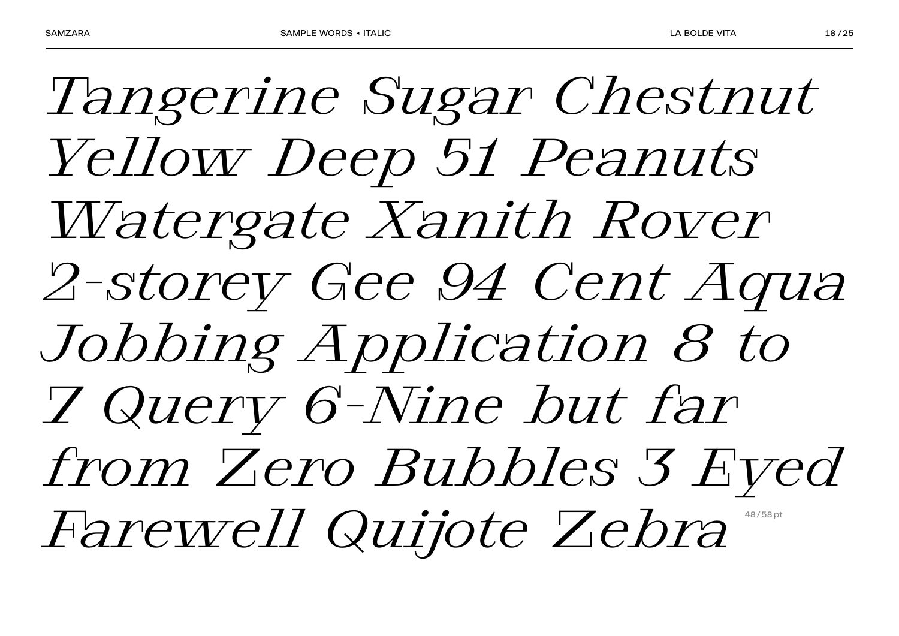*Tangerine Sugar Chestnut Yellow Deep 51 Peanuts Watergate Xanith Rover 2-storey Gee 94 Cent Aqua Jobbing Application 8 to 7 Query 6-Nine but far from Zero Bubbles 3 Eyed Farewell Quijote Zebra*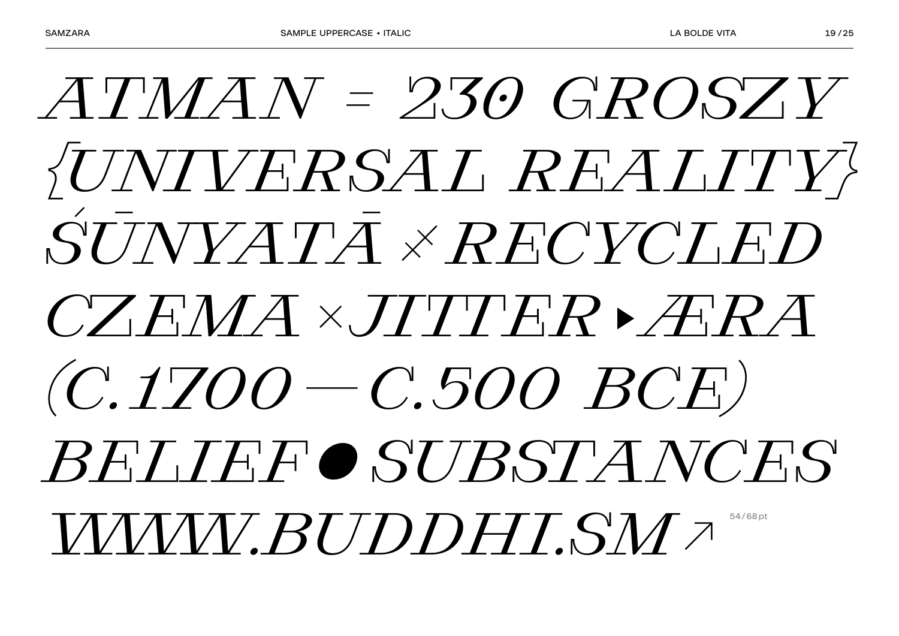### $ATMAY = 230$  GROSZY *SUNIVERSAL REALITY*  $\overline{S}\overline{U}\overline{J} N\overline{V} \overline{A} \overline{T}\overline{A} \times \overline{R} F\overline{C} V\overline{C} \overline{I} \overline{F} \overline{D}$  $CZFAMA \times JTTFR$  $(C.1700 - C.500 BC)$ BELIEFO SUBSTA NCES **WWW.BUDDHLSM2**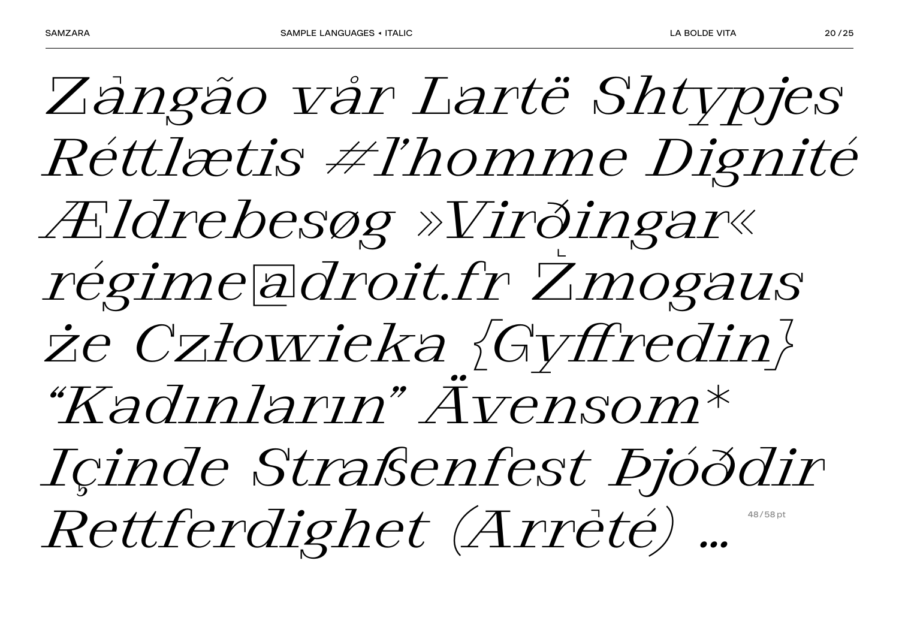*Zângão vår Lartë Shtypjes Réttlætis #l'homme Dignité Ældrebesøg »Virðingar« régime@droit.fr Žmogaus że Człowieka {Gyffredin} "Kadınların" Ävensom\* Içinde Straßenfest Þjóðdir*   $Rettferdighet (Arreté)$  ...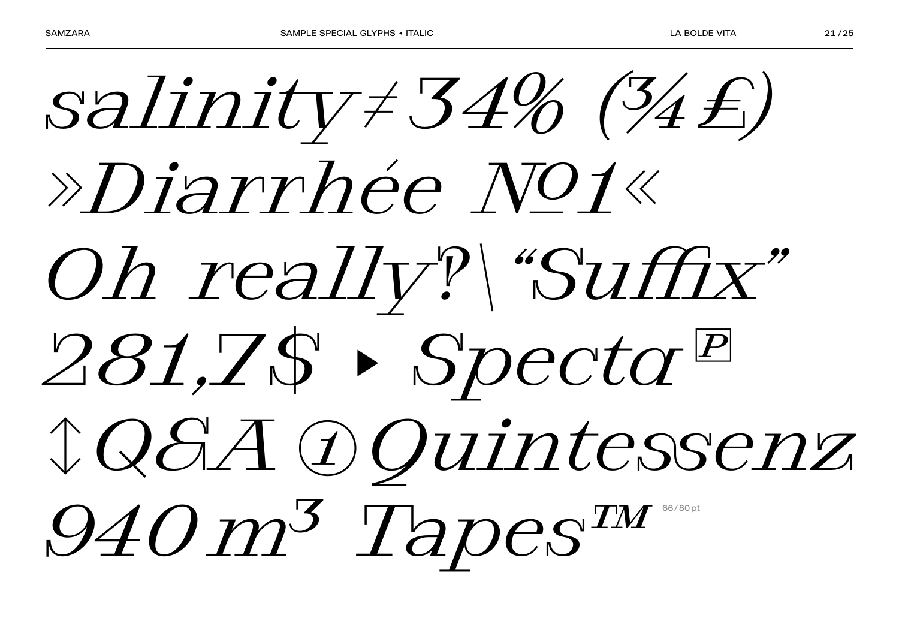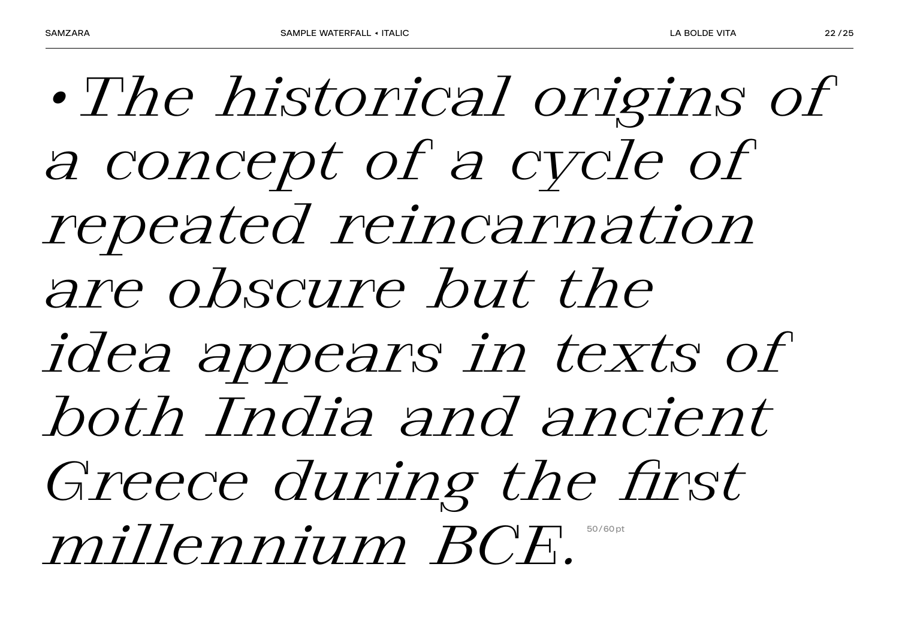*•The historical origins of a concept of a cycle of repeated reincarnation are obscure but the idea appears in texts of both India and ancient Greece during the first millennium BCF.*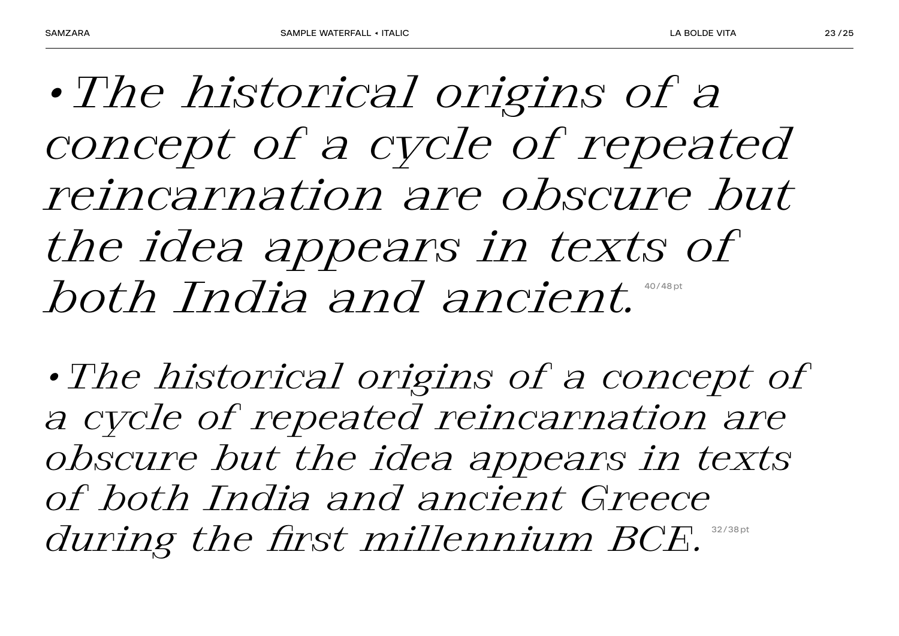*•The historical origins of a concept of a cycle of repeated reincarnation are obscure but the idea appears in texts of*  **both India and ancient.** 

*•The historical origins of a concept of a cycle of repeated reincarnation are obscure but the idea appears in texts of both India and ancient Greece during the first millennium BCE.*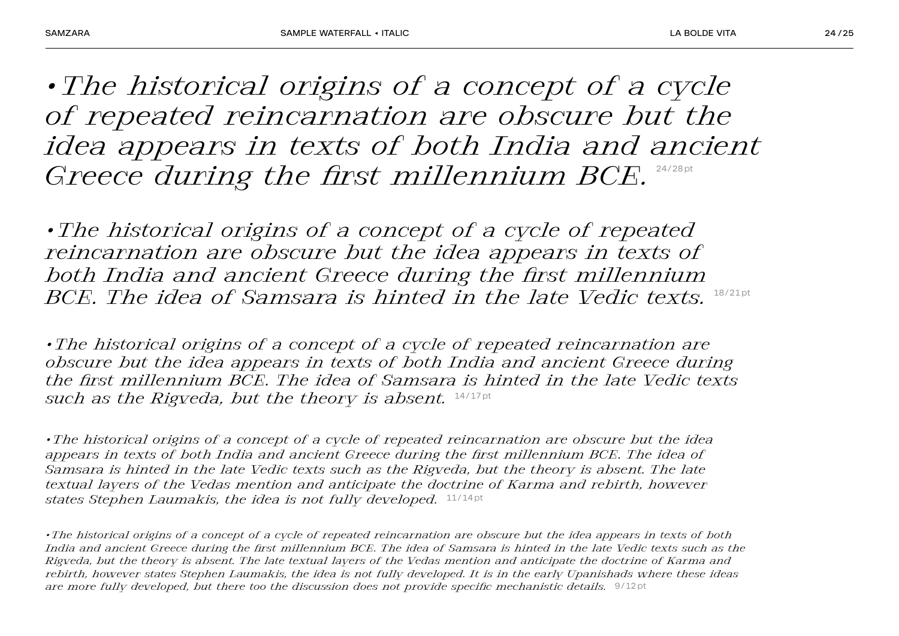*•The historical origins of a concept of a cycle of repeated reincarnation are obscure but the idea appears in texts of both India and ancient Greece during the first millennium BCE.* 

*•The historical origins of a concept of a cycle of repeated reincarnation are obscure but the idea appears in texts of both India and ancient Greece during the first millennium BCE. The idea of Samsara is hinted in the late Vedic texts.*  $18/21pt$ 

*•The historical origins of a concept of a cycle of repeated reincarnation are obscure but the idea appears in texts of both India and ancient Greece during the first millennium BCE. The idea of Samsara is hinted in the late Vedic texts such as the Rigveda, but the theory is absent.* 14/17 pt

*•The historical origins of a concept of a cycle of repeated reincarnation are obscure but the idea appears in texts of both India and ancient Greece during the first millennium BCE. The idea of Samsara is hinted in the late Vedic texts such as the Rigveda, but the theory is absent. The late textual layers of the Vedas mention and anticipate the doctrine of Karma and rebirth, however states Stephen Laumakis, the idea is not fully developed.*  $11/14pt$ 

*•The historical origins of a concept of a cycle of repeated reincarnation are obscure but the idea appears in texts of both India and ancient Greece during the first millennium BCE. The idea of Samsara is hinted in the late Vedic texts such as the Rigveda, but the theory is absent. The late textual layers of the Vedas mention and anticipate the doctrine of Karma and rebirth, however states Stephen Laumakis, the idea is not fully developed. It is in the early Upanishads where these ideas are more fully developed, but there too the discussion does not provide specific mechanistic details.* 9/12 pt